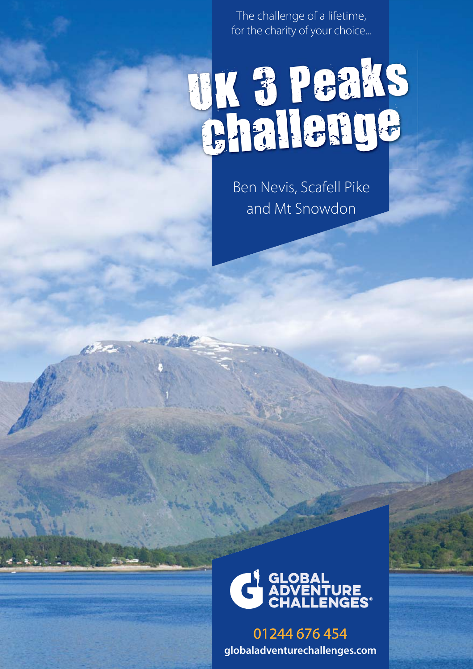The challenge of a lifetime, for the charity of your choice...

# UK 3 Peaks Challenge

Ben Nevis, Scafell Pike and Mt Snowdon



01244 676 454 **globaladventurechallenges.com**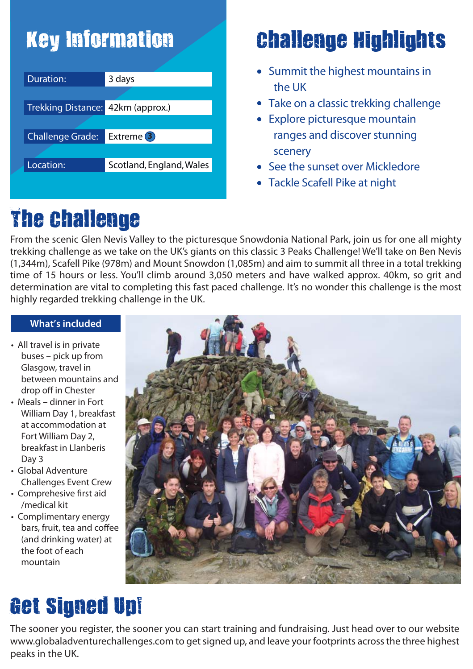### Key Information

| Duration:                         | 3 days                   |
|-----------------------------------|--------------------------|
|                                   |                          |
| Trekking Distance: 42km (approx.) |                          |
|                                   |                          |
| <b>Challenge Grade:</b>           | Extreme (3)              |
|                                   |                          |
| Location:                         | Scotland, England, Wales |
|                                   |                          |

### Challenge Highlights

- Summit the highest mountains in the UK
- Take on a classic trekking challenge
- Explore picturesque mountain ranges and discover stunning scenery
- See the sunset over Mickledore
- Tackle Scafell Pike at night

### The Challenge

From the scenic Glen Nevis Valley to the picturesque Snowdonia National Park, join us for one all mighty trekking challenge as we take on the UK's giants on this classic 3 Peaks Challenge! We'll take on Ben Nevis (1,344m), Scafell Pike (978m) and Mount Snowdon (1,085m) and aim to summit all three in a total trekking time of 15 hours or less. You'll climb around 3,050 meters and have walked approx. 40km, so grit and determination are vital to completing this fast paced challenge. It's no wonder this challenge is the most highly regarded trekking challenge in the UK.

#### **What's included**

- All travel is in private buses – pick up from Glasgow, travel in between mountains and drop off in Chester
- Meals dinner in Fort William Day 1, breakfast at accommodation at Fort William Day 2, breakfast in Llanberis Day 3
- Global Adventure Challenges Event Crew
- Comprehesive first aid /medical kit
- Complimentary energy bars, fruit, tea and coffee (and drinking water) at the foot of each mountain



### Get Signed Up!

The sooner you register, the sooner you can start training and fundraising. Just head over to our website www.globaladventurechallenges.com to get signed up, and leave your footprints across the three highest peaks in the UK.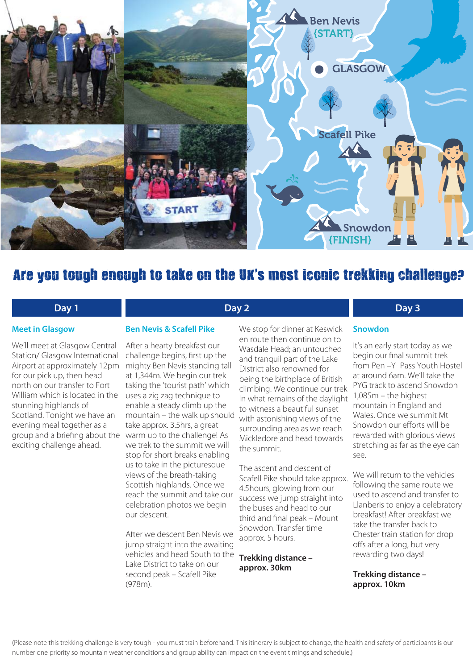

#### Are you tough enough to take on the UK's most iconic trekking challenge?

**Day 2**

#### **Day 1**

#### **Meet in Glasgow**

We'll meet at Glasgow Central Station/ Glasgow International Airport at approximately 12pm for our pick up, then head north on our transfer to Fort William which is located in the stunning highlands of Scotland. Tonight we have an evening meal together as a group and a briefing about the exciting challenge ahead.

#### **Ben Nevis & Scafell Pike**

After a hearty breakfast our challenge begins, first up the mighty Ben Nevis standing tall at 1,344m. We begin our trek taking the 'tourist path' which uses a zig zag technique to enable a steady climb up the mountain – the walk up should take approx. 3.5hrs, a great warm up to the challenge! As we trek to the summit we will stop for short breaks enabling us to take in the picturesque views of the breath-taking Scottish highlands. Once we reach the summit and take our celebration photos we begin our descent.

After we descent Ben Nevis we jump straight into the awaiting vehicles and head South to the Lake District to take on our second peak – Scafell Pike (978m).

We stop for dinner at Keswick en route then continue on to Wasdale Head; an untouched and tranquil part of the Lake District also renowned for being the birthplace of British climbing. We continue our trek in what remains of the daylight to witness a beautiful sunset with astonishing views of the surrounding area as we reach Mickledore and head towards the summit.

The ascent and descent of Scafell Pike should take approx. 4.5hours, glowing from our success we jump straight into the buses and head to our third and final peak – Mount Snowdon. Transfer time approx. 5 hours.

**Trekking distance – approx. 30km**

#### **Day 3**

#### **Snowdon**

It's an early start today as we begin our final summit trek from Pen –Y- Pass Youth Hostel at around 6am. We'll take the PYG track to ascend Snowdon 1,085m – the highest mountain in England and Wales. Once we summit Mt Snowdon our efforts will be rewarded with glorious views stretching as far as the eye can see.

We will return to the vehicles following the same route we used to ascend and transfer to Llanberis to enjoy a celebratory breakfast! After breakfast we take the transfer back to Chester train station for drop offs after a long, but very rewarding two days!

**Trekking distance – approx. 10km**